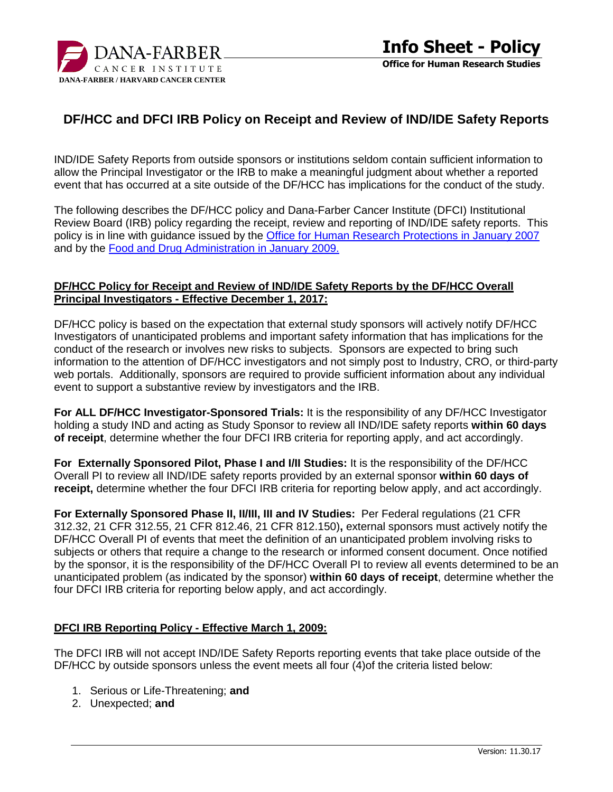

# **DF/HCC and DFCI IRB Policy on Receipt and Review of IND/IDE Safety Reports**

IND/IDE Safety Reports from outside sponsors or institutions seldom contain sufficient information to allow the Principal Investigator or the IRB to make a meaningful judgment about whether a reported event that has occurred at a site outside of the DF/HCC has implications for the conduct of the study.

The following describes the DF/HCC policy and Dana-Farber Cancer Institute (DFCI) Institutional Review Board (IRB) policy regarding the receipt, review and reporting of IND/IDE safety reports. This policy is in line with guidance issued by the [Office for Human Research Protections in January 2007](https://www.hhs.gov/ohrp/regulations-and-policy/guidance/reviewing-unanticipated-problems/index.html) and by the [Food and Drug Administration in January 2009.](https://www.fda.gov/downloads/RegulatoryInformation/Guidances/ucm126572.pdf)

### **DF/HCC Policy for Receipt and Review of IND/IDE Safety Reports by the DF/HCC Overall Principal Investigators - Effective December 1, 2017:**

DF/HCC policy is based on the expectation that external study sponsors will actively notify DF/HCC Investigators of unanticipated problems and important safety information that has implications for the conduct of the research or involves new risks to subjects. Sponsors are expected to bring such information to the attention of DF/HCC investigators and not simply post to Industry, CRO, or third-party web portals. Additionally, sponsors are required to provide sufficient information about any individual event to support a substantive review by investigators and the IRB.

**For ALL DF/HCC Investigator-Sponsored Trials:** It is the responsibility of any DF/HCC Investigator holding a study IND and acting as Study Sponsor to review all IND/IDE safety reports **within 60 days of receipt**, determine whether the four DFCI IRB criteria for reporting apply, and act accordingly.

**For Externally Sponsored Pilot, Phase I and I/II Studies:** It is the responsibility of the DF/HCC Overall PI to review all IND/IDE safety reports provided by an external sponsor **within 60 days of receipt,** determine whether the four DFCI IRB criteria for reporting below apply, and act accordingly.

**For Externally Sponsored Phase II, II/III, III and IV Studies:** Per Federal regulations (21 CFR 312.32, 21 CFR 312.55, 21 CFR 812.46, 21 CFR 812.150)**,** external sponsors must actively notify the DF/HCC Overall PI of events that meet the definition of an unanticipated problem involving risks to subjects or others that require a change to the research or informed consent document. Once notified by the sponsor, it is the responsibility of the DF/HCC Overall PI to review all events determined to be an unanticipated problem (as indicated by the sponsor) **within 60 days of receipt**, determine whether the four DFCI IRB criteria for reporting below apply, and act accordingly.

#### **DFCI IRB Reporting Policy - Effective March 1, 2009:**

The DFCI IRB will not accept IND/IDE Safety Reports reporting events that take place outside of the DF/HCC by outside sponsors unless the event meets all four (4)of the criteria listed below:

- 1. Serious or Life-Threatening; **and**
- 2. Unexpected; **and**